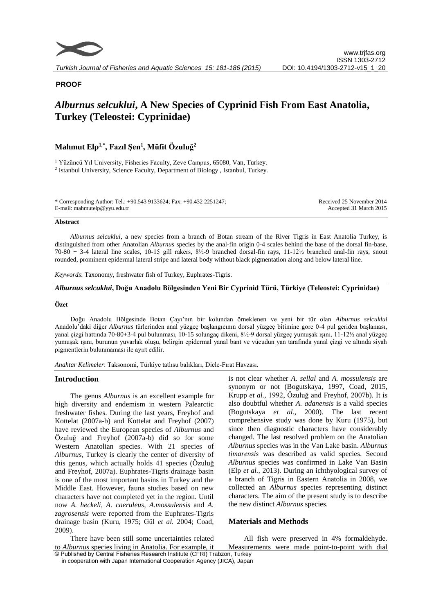

## **PROOF**

# *Alburnus selcuklui***, A New Species of Cyprinid Fish From East Anatolia, Turkey (Teleostei: Cyprinidae)**

## **Mahmut Elp1,\*, Fazıl Şen<sup>1</sup> , Müfit Özuluğ<sup>2</sup>**

<sup>1</sup> Yüzüncü Yıl University, Fisheries Faculty, Zeve Campus, 65080, Van, Turkey. <sup>2</sup> Istanbul University, Science Faculty, Department of Biology, Istanbul, Turkey.

| * Corresponding Author: Tel.: +90.543 9133624; Fax: +90.432 2251247; | Received 25 November 2014 |
|----------------------------------------------------------------------|---------------------------|
| E-mail: mahmutelp@yyu.edu.tr                                         | Accepted 31 March 2015    |

#### **Abstract**

*Alburnus selcuklui*, a new species from a branch of Botan stream of the River Tigris in East Anatolia Turkey, is distinguished from other Anatolian *Alburnus* species by the anal-fin origin 0-4 scales behind the base of the dorsal fin-base, 70-80 + 3-4 lateral line scales, 10-15 gill rakers, 8½-9 branched dorsal-fin rays, 11-12½ branched anal-fin rays, snout rounded, prominent epidermal lateral stripe and lateral body without black pigmentation along and below lateral line.

*Keywords*: Taxonomy, freshwater fish of Turkey, Euphrates-Tigris.

#### *Alburnus selcuklui***, Doğu Anadolu Bölgesinden Yeni Bir Cyprinid Türü, Türkiye (Teleostei: Cyprinidae)**

#### **Özet**

Doğu Anadolu Bölgesinde Botan Çayı'nın bir kolundan örneklenen ve yeni bir tür olan *Alburnus selcuklui* Anadolu'daki diğer *Alburnus* türlerinden anal yüzgeç başlangıcının dorsal yüzgeç bitimine gore 0-4 pul geriden başlaması, yanal çizgi hattında 70-80+3-4 pul bulunması, 10-15 solungaç dikeni, 8½-9 dorsal yüzgeç yumuşak ışını, 11-12½ anal yüzgeç yumuşak ışını, burunun yuvarlak oluşu, belirgin epidermal yanal bant ve vücudun yan tarafında yanal çizgi ve altında siyah pigmentlerin bulunmaması ile ayırt edilir.

*Anahtar Kelimeler*: Taksonomi, Türkiye tatlısu balıkları, Dicle-Fırat Havzası.

#### **Introduction**

The genus *Alburnus* is an excellent example for high diversity and endemism in western Palearctic freshwater fishes. During the last years, Freyhof and Kottelat (2007a-b) and Kottelat and Freyhof (2007) have reviewed the European species of *Alburnus* and Özuluğ and Freyhof (2007a-b) did so for some Western Anatolian species. With 21 species of *Alburnus*, Turkey is clearly the center of diversity of this genus, which actually holds 41 species (Özuluğ and Freyhof, 2007a). Euphrates-Tigris drainage basin is one of the most important basins in Turkey and the Middle East. However, fauna studies based on new characters have not completed yet in the region. Until now *A. heckeli, A. caeruleus, A.mossulensis* and *A. zagrosensis* were reported from the Euphrates-Tigris drainage basin (Kuru, 1975; Gül *et al.* 2004; Coad, 2009).

© Published by Central Fisheries Research Institute (CFRI) Trabzon, Turkey There have been still some uncertainties related to *Alburnus* species living in Anatolia. For example, it

is not clear whether *A. sellal* and *A. mossulensis* are synonym or not (Bogutskaya, 1997, Coad, 2015, Krupp *et al.,* 1992, Özuluğ and Freyhof, 2007b). It is also doubtful whether *A. adanensis* is a valid species (Bogutskaya *et al.,* 2000). The last recent comprehensive study was done by Kuru (1975), but since then diagnostic characters have considerably changed. The last resolved problem on the Anatolian *Alburnus* species was in the Van Lake basin. *Alburnus timarensis* was described as valid species. Second *Alburnus* species was confirmed in Lake Van Basin (Elp *et al.,* 2013). During an ichthyological survey of a branch of Tigris in Eastern Anatolia in 2008, we collected an *Alburnus* species representing distinct characters. The aim of the present study is to describe the new distinct *Alburnus* species.

## **Materials and Methods**

All fish were preserved in 4% formaldehyde. Measurements were made point-to-point with dial

in cooperation with Japan International Cooperation Agency (JICA), Japan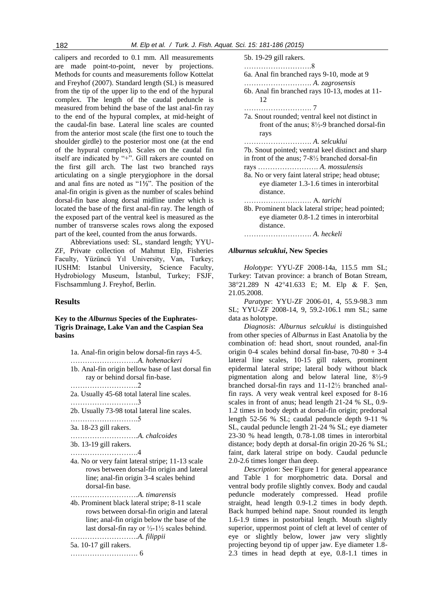calipers and recorded to 0.1 mm. All measurements are made point-to-point, never by projections. Methods for counts and measurements follow Kottelat and Freyhof (2007). Standard length (SL) is measured from the tip of the upper lip to the end of the hypural complex. The length of the caudal peduncle is measured from behind the base of the last anal-fin ray to the end of the hypural complex, at mid-height of the caudal-fin base. Lateral line scales are counted from the anterior most scale (the first one to touch the shoulder girdle) to the posterior most one (at the end of the hypural complex). Scales on the caudal fin itself are indicated by "+". Gill rakers are counted on the first gill arch. The last two branched rays articulating on a single pterygiophore in the dorsal and anal fins are noted as "1**½**". The position of the anal-fin origin is given as the number of scales behind dorsal-fin base along dorsal midline under which is located the base of the first anal-fin ray. The length of the exposed part of the ventral keel is measured as the number of transverse scales rows along the exposed part of the keel, counted from the anus forwards.

Abbreviations used: SL, standard length; YYU-ZF, Private collection of Mahmut Elp, Fisheries Faculty, Yüzüncü Yıl University, Van, Turkey; IUSHM: Istanbul University, Science Faculty, Hydrobiology Museum, İstanbul, Turkey; FSJF, Fischsammlung J. Freyhof, Berlin.

## **Results**

## **Key to the** *Alburnus* **Species of the Euphrates-Tigris Drainage, Lake Van and the Caspian Sea basins**

| 1a. Anal-fin origin below dorsal-fin rays 4-5.                       |
|----------------------------------------------------------------------|
|                                                                      |
| 1b. Anal-fin origin bellow base of last dorsal fin                   |
| ray or behind dorsal fin-base.                                       |
|                                                                      |
| 2a. Usually 45-68 total lateral line scales.                         |
|                                                                      |
| 2b. Usually 73-98 total lateral line scales.                         |
|                                                                      |
| 3a. 18-23 gill rakers.                                               |
|                                                                      |
| 3b. 13-19 gill rakers.                                               |
|                                                                      |
| 4a. No or very faint lateral stripe; 11-13 scale                     |
| rows between dorsal-fin origin and lateral                           |
| line; anal-fin origin 3-4 scales behind                              |
| dorsal-fin base.                                                     |
|                                                                      |
| 4b. Prominent black lateral stripe; 8-11 scale                       |
| rows between dorsal-fin origin and lateral                           |
| line; anal-fin origin below the base of the                          |
| last dorsal-fin ray or $\frac{1}{2}$ -1 $\frac{1}{2}$ scales behind. |
|                                                                      |
| 5a. 10-17 gill rakers.                                               |
|                                                                      |
|                                                                      |
|                                                                      |

| 5b. 19-29 gill rakers.                                     |
|------------------------------------------------------------|
| 6a. Anal fin branched rays 9-10, mode at 9                 |
|                                                            |
| 6b. Anal fin branched rays 10-13, modes at 11-<br>12       |
|                                                            |
| 7a. Snout rounded; ventral keel not distinct in            |
| front of the anus; $8\frac{1}{2}$ -9 branched dorsal-fin   |
| rays                                                       |
|                                                            |
| 7b. Snout pointed; ventral keel distinct and sharp         |
| in front of the anus; $7-8\frac{1}{2}$ branched dorsal-fin |
|                                                            |
| 8a. No or very faint lateral stripe; head obtuse;          |
| eye diameter 1.3-1.6 times in interorbital                 |
| distance.                                                  |
|                                                            |
| 8b. Prominent black lateral stripe; head pointed;          |
| eye diameter 0.8-1.2 times in interorbital                 |
| distance.                                                  |
|                                                            |

*Alburnus selcuklui***, New Species** 

*Holotype*: YYU-ZF 2008-14a, 115.5 mm SL; Turkey: Tatvan province: a branch of Botan Stream, 38°21.289 N 42°41.633 E; M. Elp & F. Sen, 21.05.2008.

*Paratype*: YYU-ZF 2006-01, 4, 55.9-98.3 mm SL; YYU-ZF 2008-14, 9, 59.2-106.1 mm SL; same data as holotype.

*Diagnosis*: *Alburnus selcuklui* is distinguished from other species of *Alburnus* in East Anatolia by the combination of: head short, snout rounded, anal-fin origin 0-4 scales behind dorsal fin-base,  $70-80 + 3-4$ lateral line scales, 10-15 gill rakers, prominent epidermal lateral stripe; lateral body without black pigmentation along and below lateral line, 8½-9 branched dorsal-fin rays and 11-12½ branched analfin rays. A very weak ventral keel exposed for 8-16 scales in front of anus; head length 21-24 % SL, 0.9- 1.2 times in body depth at dorsal-fin origin; predorsal length 52-56 % SL; caudal peduncle depth 9-11 % SL, caudal peduncle length 21-24 % SL; eye diameter 23-30 % head length, 0.78-1.08 times in interorbital distance; body depth at dorsal-fin origin 20-26 % SL; faint, dark lateral stripe on body. Caudal peduncle 2.0-2.6 times longer than deep.

*Description*: See Figure 1 for general appearance and Table 1 for morphometric data. Dorsal and ventral body profile slightly convex. Body and caudal peduncle moderately compressed. Head profile straight, head length 0.9-1.2 times in body depth. Back humped behind nape. Snout rounded its length 1.6-1.9 times in postorbital length. Mouth slightly superior, uppermost point of cleft at level of center of eye or slightly below, lower jaw very slightly projecting beyond tip of upper jaw. Eye diameter 1.8- 2.3 times in head depth at eye, 0.8-1.1 times in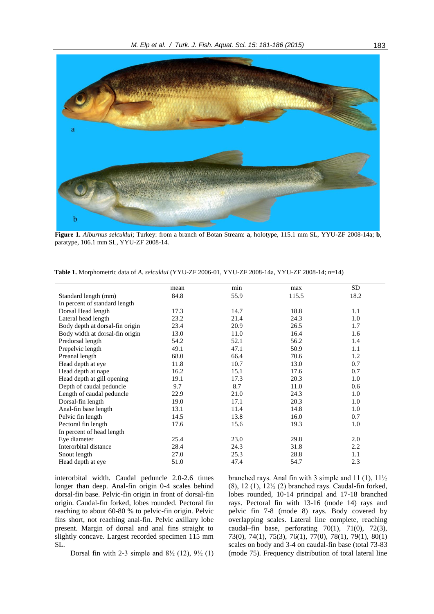

**Figure 1.** *Alburnus selcuklui*; Turkey: from a branch of Botan Stream: **a**, holotype, 115.1 mm SL, YYU-ZF 2008-14a; **b**, paratype, 106.1 mm SL, YYU-ZF 2008-14.

|                                 | mean | min  | max   | SD   |
|---------------------------------|------|------|-------|------|
| Standard length (mm)            | 84.8 | 55.9 | 115.5 | 18.2 |
| In percent of standard length   |      |      |       |      |
| Dorsal Head length              | 17.3 | 14.7 | 18.8  | 1.1  |
| Lateral head length             | 23.2 | 21.4 | 24.3  | 1.0  |
| Body depth at dorsal-fin origin | 23.4 | 20.9 | 26.5  | 1.7  |
| Body width at dorsal-fin origin | 13.0 | 11.0 | 16.4  | 1.6  |
| Predorsal length                | 54.2 | 52.1 | 56.2  | 1.4  |
| Prepelvic length                | 49.1 | 47.1 | 50.9  | 1.1  |
| Preanal length                  | 68.0 | 66.4 | 70.6  | 1.2  |
| Head depth at eye               | 11.8 | 10.7 | 13.0  | 0.7  |
| Head depth at nape              | 16.2 | 15.1 | 17.6  | 0.7  |
| Head depth at gill opening      | 19.1 | 17.3 | 20.3  | 1.0  |
| Depth of caudal peduncle        | 9.7  | 8.7  | 11.0  | 0.6  |
| Length of caudal peduncle       | 22.9 | 21.0 | 24.3  | 1.0  |
| Dorsal-fin length               | 19.0 | 17.1 | 20.3  | 1.0  |
| Anal-fin base length            | 13.1 | 11.4 | 14.8  | 1.0  |
| Pelvic fin length               | 14.5 | 13.8 | 16.0  | 0.7  |
| Pectoral fin length             | 17.6 | 15.6 | 19.3  | 1.0  |
| In percent of head length       |      |      |       |      |
| Eye diameter                    | 25.4 | 23.0 | 29.8  | 2.0  |
| Interorbital distance           | 28.4 | 24.3 | 31.8  | 2.2  |
| Snout length                    | 27.0 | 25.3 | 28.8  | 1.1  |
| Head depth at eye               | 51.0 | 47.4 | 54.7  | 2.3  |

**Table 1.** Morphometric data of *A. selcuklui* (YYU-ZF 2006-01, YYU-ZF 2008-14a, YYU-ZF 2008-14; n=14)

interorbital width. Caudal peduncle 2.0-2.6 times longer than deep. Anal-fin origin 0-4 scales behind dorsal-fin base. Pelvic-fin origin in front of dorsal-fin origin. Caudal-fin forked, lobes rounded. Pectoral fin reaching to about 60-80 % to pelvic-fin origin. Pelvic fins short, not reaching anal-fin. Pelvic axillary lobe present. Margin of dorsal and anal fins straight to slightly concave. Largest recorded specimen 115 mm SL.

branched rays. Anal fin with 3 simple and 11 (1), 11½ (8), 12 (1), 12½ (2) branched rays. Caudal-fin forked, lobes rounded, 10-14 principal and 17-18 branched rays. Pectoral fin with 13-16 (mode 14) rays and pelvic fin 7-8 (mode 8) rays. Body covered by overlapping scales. Lateral line complete, reaching caudal–fin base, perforating  $70(1)$ ,  $71(0)$ ,  $72(3)$ , 73(0), 74(1), 75(3), 76(1), 77(0), 78(1), 79(1), 80(1) scales on body and 3-4 on caudal-fin base (total 73-83 (mode 75). Frequency distribution of total lateral line

Dorsal fin with 2-3 simple and  $8\frac{1}{2}$  (12),  $9\frac{1}{2}$  (1)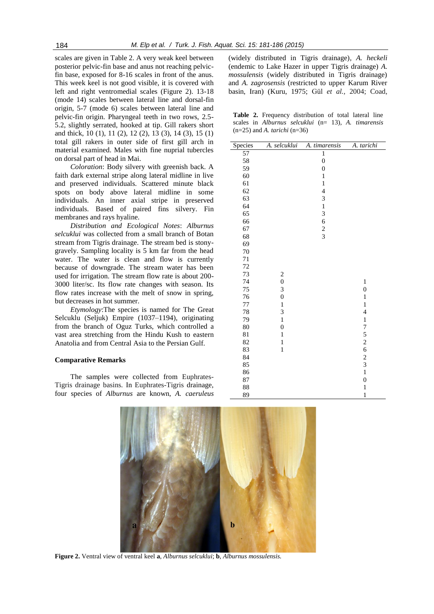scales are given in Table 2. A very weak keel between posterior pelvic-fin base and anus not reaching pelvicfin base, exposed for 8-16 scales in front of the anus. This week keel is not good visible, it is covered with left and right ventromedial scales (Figure 2). 13-18 (mode 14) scales between lateral line and dorsal-fin origin, 5-7 (mode 6) scales between lateral line and pelvic-fin origin. Pharyngeal teeth in two rows, 2.5- 5.2, slightly serrated, hooked at tip. Gill rakers short and thick, 10 (1), 11 (2), 12 (2), 13 (3), 14 (3), 15 (1) total gill rakers in outer side of first gill arch in material examined. Males with fine nuprial tubercles on dorsal part of head in Mai.

*Coloration*: Body silvery with greenish back. A faith dark external stripe along lateral midline in live and preserved individuals. Scattered minute black spots on body above lateral midline in some individuals. An inner axial stripe in preserved individuals. Based of paired fins silvery. Fin membranes and rays hyaline.

*Distribution and Ecological Notes*: *Alburnus selcuklui* was collected from a small branch of Botan stream from Tigris drainage. The stream bed is stonygravely. Sampling locality is 5 km far from the head water. The water is clean and flow is currently because of downgrade. The stream water has been used for irrigation. The stream flow rate is about 200- 3000 liter/sc. Its flow rate changes with season. Its flow rates increase with the melt of snow in spring, but decreases in hot summer.

*Etymology*:The species is named for The Great Selcuklu (Seljuk) Empire (1037–1194), originating from the branch of Oguz Turks, which controlled a vast area stretching from the Hindu Kush to eastern Anatolia and from Central Asia to the Persian Gulf.

#### **Comparative Remarks**

The samples were collected from Euphrates-Tigris drainage basins. In Euphrates-Tigris drainage, four species of *Alburnus* are known, *A. caeruleus* 

(widely distributed in Tigris drainage)*, A. heckeli* (endemic to Lake Hazer in upper Tigris drainage) *A. mossulensis* (widely distributed in Tigris drainage) and *A. zagrosensis* (restricted to upper Karum River basin, Iran) (Kuru, 1975; Gül *et al.,* 2004; Coad,

Table 2. Frequency distribution of total lateral line scales in *Alburnus selcuklui* (n= 13)*, A. timarensis* (n=25) and *A. tarichi* (n=36)

| Species | A. selcuklui            | A. timarensis           | A. tarichi       |
|---------|-------------------------|-------------------------|------------------|
| 57      |                         | $\mathbf 1$             |                  |
| 58      |                         | $\boldsymbol{0}$        |                  |
| 59      |                         | $\boldsymbol{0}$        |                  |
| 60      |                         | $\mathbf{1}$            |                  |
| 61      |                         | $\mathbf{1}$            |                  |
| 62      |                         | $\overline{\mathbf{4}}$ |                  |
| 63      |                         | 3                       |                  |
| 64      |                         | $\mathbf{1}$            |                  |
| 65      |                         | 3                       |                  |
| 66      |                         | 6                       |                  |
| 67      |                         | $\frac{2}{3}$           |                  |
| 68      |                         |                         |                  |
| 69      |                         |                         |                  |
| 70      |                         |                         |                  |
| 71      |                         |                         |                  |
| 72      |                         |                         |                  |
| 73      | $\overline{\mathbf{c}}$ |                         |                  |
| 74      | $\boldsymbol{0}$        |                         | $\mathbf{1}$     |
| 75      | 3                       |                         | $\boldsymbol{0}$ |
| 76      | $\overline{0}$          |                         | $\mathbf{1}$     |
| $77 \,$ | $\mathbf{1}$            |                         | $\mathbf{1}$     |
| $78\,$  | 3                       |                         | $\overline{4}$   |
| 79      | $\mathbf{1}$            |                         | $\mathbf{1}$     |
| 80      | $\boldsymbol{0}$        |                         | 7                |
| 81      | $\mathbf{1}$            |                         | 5                |
| 82      | $\mathbf{1}$            |                         | $\frac{2}{6}$    |
| 83      | $\mathbf{1}$            |                         |                  |
| 84      |                         |                         | $\frac{2}{3}$    |
| 85      |                         |                         |                  |
| 86      |                         |                         | $\mathbf{1}$     |
| 87      |                         |                         | $\boldsymbol{0}$ |
| 88      |                         |                         | $\mathbf{1}$     |
| 89      |                         |                         | $\mathbf{1}$     |



**Figure 2.** Ventral view of ventral keel **a**, *Alburnus selcuklui*; **b**, *Alburnus mossulensis.*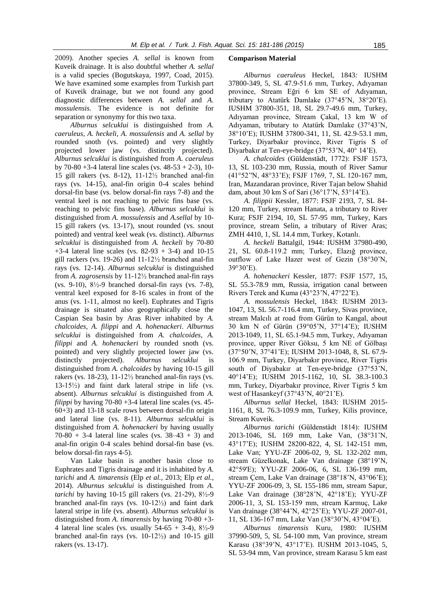2009). Another species *A. sellal* is known from Kuveik drainage. It is also doubtful whether *A. sellal* is a valid species (Bogutskaya, 1997, Coad, 2015). We have examined some examples from Turkish part of Kuveik drainage, but we not found any good diagnostic differences between *A. sellal* and *A. mossulensis*. The evidence is not definite for separation or synonymy for this two taxa.

*Alburnus selcuklui* is distinguished from *A. caeruleus*, *A. heckeli*, *A. mossulensis* and *A. sellal* by rounded snoth (vs. pointed) and very slightly projected lower jaw (vs. distinctly projected). *Alburnus selcuklui* is distinguished from *A. caeruleus*  by 70-80 +3-4 lateral line scales (vs.  $48-53 + 2-3$ ), 10-15 gill rakers (vs. 8-12), 11-12½ branched anal-fin rays (vs. 14-15), anal-fin origin 0-4 scales behind dorsal-fin base (vs. below dorsal-fin rays 7-8) and the ventral keel is not reaching to pelvic fins base (vs. reaching to pelvic fins base). *Alburnus selcuklui* is distinguished from *A. mossulensis* and *A.sellal* by 10- 15 gill rakers (vs. 13-17), snout rounded (vs. snout pointed) and ventral keel weak (vs. distinct). *Alburnus selcuklui* is distinguished from *A. heckeli* by 70-80  $+3-4$  lateral line scales (vs. 82-93 + 3-4) and 10-15 gill rackers (vs. 19-26) and 11-12½ branched anal-fin rays (vs. 12-14). *Alburnus selcuklui* is distinguished from *A. zagrosensis* by 11-12½ branched anal-fin rays (vs. 9-10), 8½-9 branched dorsal-fin rays (vs. 7-8), ventral keel exposed for 8-16 scales in front of the anus (vs. 1-11, almost no keel). Euphrates and Tigris drainage is situated also geographically close the Caspian Sea basin by Aras River inhabited by *A. chalcoides, A. filippi* and *A. hohenackeri*. *Alburnus selcuklui* is distinguished from *A. chalcoides, A. filippi* and *A. hohenackeri* by rounded snoth (vs. pointed) and very slightly projected lower jaw (vs. distinctly projected). *Alburnus selcuklui* is distinguished from *A. chalcoides* by having 10-15 gill rakers (vs. 18-23), 11-12½ branched anal-fin rays (vs. 13-15½) and faint dark lateral stripe in life (vs. absent). *Alburnus selcuklui* is distinguished from *A. filippi* by having 70-80 +3-4 lateral line scales (vs. 45- 60+3) and 13-18 scale rows between dorsal-fin origin and lateral line (vs. 8-11). *Alburnus selcuklui* is distinguished from *A. hohenackeri* by having usually  $70-80 + 3-4$  lateral line scales (vs.  $38-43 + 3$ ) and anal-fin origin 0-4 scales behind dorsal-fin base (vs. below dorsal-fin rays 4-5).

Van Lake basin is another basin close to Euphrates and Tigris drainage and it is inhabited by *A. tarichi* and *A. timarensis* (Elp *et al.,* 2013; Elp *et al.*, 2014). *Alburnus selcuklui* is distinguished from *A. tarichi* by having 10-15 gill rakers (vs. 21-29), 8½-9 branched anal-fin rays (vs. 10-12½) and faint dark lateral stripe in life (vs. absent). *Alburnus selcuklui* is distinguished from *A. timarensis* by having 70-80 +3- 4 lateral line scales (vs. usually  $54-65 + 3-4$ ),  $8\frac{1}{2} - 9$ branched anal-fin rays (vs.  $10-12\frac{1}{2}$ ) and  $10-15$  gill rakers (vs. 13-17).

#### **Comparison Material**

*Alburnus caeruleus* Heckel, 1843*:* IUSHM 37800-349, 5, SL 47.9-51.6 mm, Turkey, Adıyaman province, Stream Eğri 6 km SE of Adıyaman, tributary to Atatürk Damlake (37°45'N, 38°20'E). IUSHM 37800-351, 18, SL 29.7-49.6 mm, Turkey, Adıyaman province, Stream Çakal, 13 km W of Adıyaman, tributary to Atatürk Damlake (37°43'N, 38°10'E); IUSHM 37800-341, 11, SL 42.9-53.1 mm, Turkey, Diyarbakır province, River Tigris S of Diyarbakır at Ten-eye-bridge (37°53'N, 40° 14'E).

*A. chalcoides* (Güldenstädt, 1772): FSJF 1573, 13, SL 103-230 mm, Russia, mouth of River Samur (41°52''N, 48°33'E); FSJF 1769, 7, SL 120-167 mm, Iran, Mazandaran province, River Tajan below Shahid dam, about 30 km S of Sari (36°17'N, 53°14'E).

*A. filippii* Kessler, 1877: FSJF 2193, 7, SL 84- 120 mm, Turkey, stream Hanata, a tributary to River Kura; FSJF 2194, 10, SL 57-95 mm, Turkey, Kars province, stream Selin, a tributary of River Aras; ZMH 4410, 1, SL 14.4 mm, Turkey, Kotanlı.

*A. heckeli* Battalgil, 1944: IUSHM 37980-490, 21, SL 60.8-119.2 mm; Turkey, Elazığ province, outflow of Lake Hazer west of Gezin (38°30'N, 39°30'E).

*A. hohenackeri* Kessler, 1877: FSJF 1577, 15, SL 55.3-78.9 mm, Russia, irrigation canal between Rivers Terek and Kuma (43°23'N, 47°22'E).

*A. mossulensis* Heckel, 1843: IUSHM 2013- 1047, 13, SL 56.7-116.4 mm, Turkey, Sivas province, stream Malcılı at road from Gürün to Kangal, about 30 km N of Gürün (39°05'N, 37°14'E); IUSHM 2013-1049, 11, SL 65.1-94.5 mm, Turkey, Adıyaman province, upper River Göksu, 5 km NE of Gölbaşı (37°50'N, 37°41'E); IUSHM 2013-1048, 8, SL 67.9- 106.9 mm, Turkey, Diyarbakır province, River Tigris south of Diyabakır at Ten-eye-bridge (37°53'N, 40°14'E); IUSHM 2015-1162, 10, SL 38.3-100.3 mm, Turkey, Diyarbakır province, River Tigris 5 km west of Hasankeyf (37°43'N, 40°21'E).

*Alburnus sellal* Heckel, 1843: IUSHM 2015- 1161, 8, SL 76.3-109.9 mm, Turkey, Kilis province, Stream Kuveik.

*Alburnus tarichi* (Güldenstädt 1814): IUSHM 2013-1046, SL 169 mm, Lake Van, (38°31'N, 43°17'E); IUSHM 28200-822, 4, SL 142-151 mm, Lake Van; YYU-ZF 2006-02, 9, SL 132-202 mm, stream Güzelkonak, Lake Van drainage (38°19'N, 42°59'E); YYU-ZF 2006-06, 6, SL 136-199 mm, stream Çem, Lake Van drainage (38°18'N, 43°06'E); YYU-ZF 2006-09, 3, SL 155-186 mm, stream Sapur, Lake Van drainage (38°28'N, 42°18'E); YYU-ZF 2006-11, 3, SL 153-159 mm, stream Karmuç, Lake Van drainage (38°44'N, 42°25'E); YYU-ZF 2007-01, 11, SL 136-167 mm, Lake Van (38°30'N, 43°04'E).

*Alburnus timarensis* Kuru, 1980: IUSHM 37990-509, 5, SL 54-100 mm, Van province, stream Karasu (38°39'N, 43°17'E). IUSHM 2013-1045, 5, SL 53-94 mm, Van province, stream Karasu 5 km east